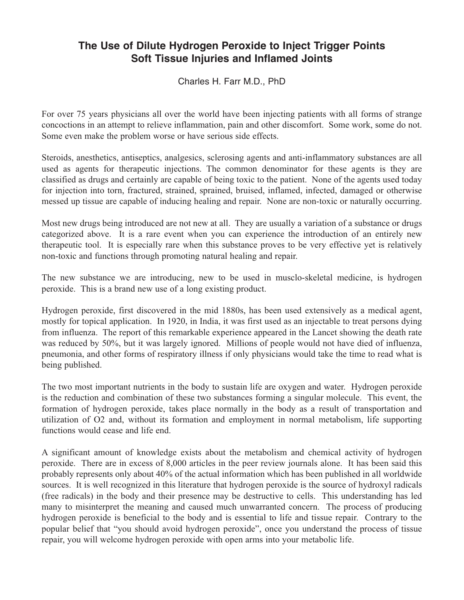## **The Use of Dilute Hydrogen Peroxide to Inject Trigger Points Soft Tissue Injuries and Inflamed Joints**

Charles H. Farr M.D., PhD

For over 75 years physicians all over the world have been injecting patients with all forms of strange concoctions in an attempt to relieve inflammation, pain and other discomfort. Some work, some do not. Some even make the problem worse or have serious side effects.

Steroids, anesthetics, antiseptics, analgesics, sclerosing agents and anti-inflammatory substances are all used as agents for therapeutic injections. The common denominator for these agents is they are classified as drugs and certainly are capable of being toxic to the patient. None of the agents used today for injection into torn, fractured, strained, sprained, bruised, inflamed, infected, damaged or otherwise messed up tissue are capable of inducing healing and repair. None are non-toxic or naturally occurring.

Most new drugs being introduced are not new at all. They are usually a variation of a substance or drugs categorized above. It is a rare event when you can experience the introduction of an entirely new therapeutic tool. It is especially rare when this substance proves to be very effective yet is relatively non-toxic and functions through promoting natural healing and repair.

The new substance we are introducing, new to be used in musclo-skeletal medicine, is hydrogen peroxide. This is a brand new use of a long existing product.

Hydrogen peroxide, first discovered in the mid 1880s, has been used extensively as a medical agent, mostly for topical application. In 1920, in India, it was first used as an injectable to treat persons dying from influenza. The report of this remarkable experience appeared in the Lancet showing the death rate was reduced by 50%, but it was largely ignored. Millions of people would not have died of influenza, pneumonia, and other forms of respiratory illness if only physicians would take the time to read what is being published.

The two most important nutrients in the body to sustain life are oxygen and water. Hydrogen peroxide is the reduction and combination of these two substances forming a singular molecule. This event, the formation of hydrogen peroxide, takes place normally in the body as a result of transportation and utilization of O2 and, without its formation and employment in normal metabolism, life supporting functions would cease and life end.

A significant amount of knowledge exists about the metabolism and chemical activity of hydrogen peroxide. There are in excess of 8,000 articles in the peer review journals alone. It has been said this probably represents only about 40% of the actual information which has been published in all worldwide sources. It is well recognized in this literature that hydrogen peroxide is the source of hydroxyl radicals (free radicals) in the body and their presence may be destructive to cells. This understanding has led many to misinterpret the meaning and caused much unwarranted concern. The process of producing hydrogen peroxide is beneficial to the body and is essential to life and tissue repair. Contrary to the popular belief that "you should avoid hydrogen peroxide", once you understand the process of tissue repair, you will welcome hydrogen peroxide with open arms into your metabolic life.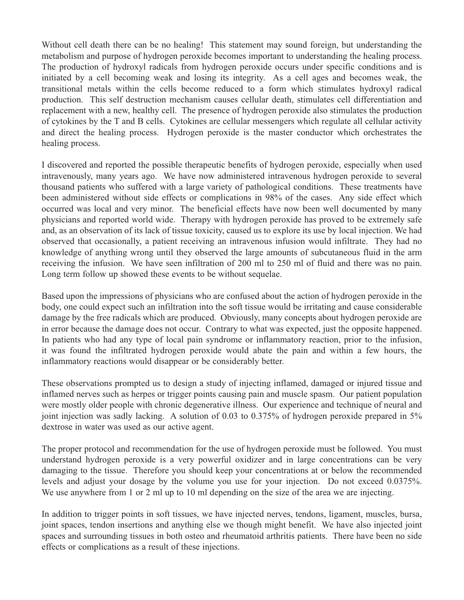Without cell death there can be no healing! This statement may sound foreign, but understanding the metabolism and purpose of hydrogen peroxide becomes important to understanding the healing process. The production of hydroxyl radicals from hydrogen peroxide occurs under specific conditions and is initiated by a cell becoming weak and losing its integrity. As a cell ages and becomes weak, the transitional metals within the cells become reduced to a form which stimulates hydroxyl radical production. This self destruction mechanism causes cellular death, stimulates cell differentiation and replacement with a new, healthy cell. The presence of hydrogen peroxide also stimulates the production of cytokines by the T and B cells. Cytokines are cellular messengers which regulate all cellular activity and direct the healing process. Hydrogen peroxide is the master conductor which orchestrates the healing process.

I discovered and reported the possible therapeutic benefits of hydrogen peroxide, especially when used intravenously, many years ago. We have now administered intravenous hydrogen peroxide to several thousand patients who suffered with a large variety of pathological conditions. These treatments have been administered without side effects or complications in 98% of the cases. Any side effect which occurred was local and very minor. The beneficial effects have now been well documented by many physicians and reported world wide. Therapy with hydrogen peroxide has proved to be extremely safe and, as an observation of its lack of tissue toxicity, caused us to explore its use by local injection. We had observed that occasionally, a patient receiving an intravenous infusion would infiltrate. They had no knowledge of anything wrong until they observed the large amounts of subcutaneous fluid in the arm receiving the infusion. We have seen infiltration of 200 ml to 250 ml of fluid and there was no pain. Long term follow up showed these events to be without sequelae.

Based upon the impressions of physicians who are confused about the action of hydrogen peroxide in the body, one could expect such an infiltration into the soft tissue would be irritating and cause considerable damage by the free radicals which are produced. Obviously, many concepts about hydrogen peroxide are in error because the damage does not occur. Contrary to what was expected, just the opposite happened. In patients who had any type of local pain syndrome or inflammatory reaction, prior to the infusion, it was found the infiltrated hydrogen peroxide would abate the pain and within a few hours, the inflammatory reactions would disappear or be considerably better.

These observations prompted us to design a study of injecting inflamed, damaged or injured tissue and inflamed nerves such as herpes or trigger points causing pain and muscle spasm. Our patient population were mostly older people with chronic degenerative illness. Our experience and technique of neural and joint injection was sadly lacking. A solution of 0.03 to 0.375% of hydrogen peroxide prepared in 5% dextrose in water was used as our active agent.

The proper protocol and recommendation for the use of hydrogen peroxide must be followed. You must understand hydrogen peroxide is a very powerful oxidizer and in large concentrations can be very damaging to the tissue. Therefore you should keep your concentrations at or below the recommended levels and adjust your dosage by the volume you use for your injection. Do not exceed 0.0375%. We use anywhere from 1 or 2 ml up to 10 ml depending on the size of the area we are injecting.

In addition to trigger points in soft tissues, we have injected nerves, tendons, ligament, muscles, bursa, joint spaces, tendon insertions and anything else we though might benefit. We have also injected joint spaces and surrounding tissues in both osteo and rheumatoid arthritis patients. There have been no side effects or complications as a result of these injections.